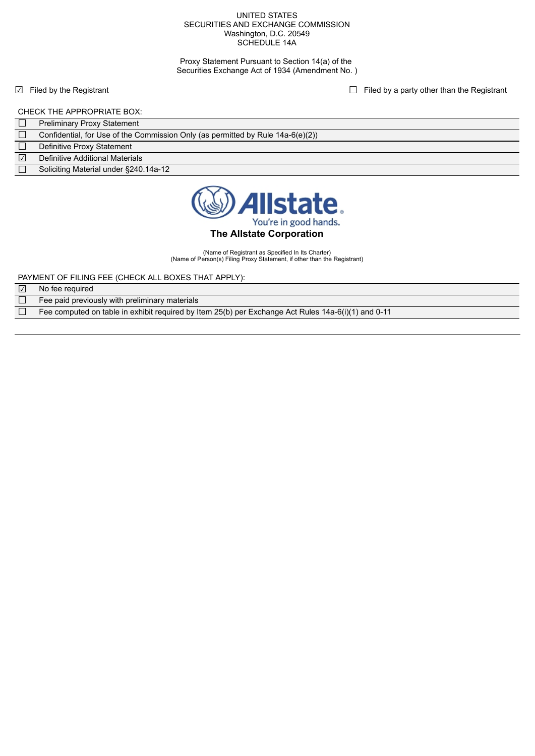#### UNITED STATES SECURITIES AND EXCHANGE COMMISSION Washington, D.C. 20549 SCHEDULE 14A

Proxy Statement Pursuant to Section 14(a) of the Securities Exchange Act of 1934 (Amendment No. )

☑ Filed by the Registrant ☐ Filed by a party other than the Registrant

## CHECK THE APPROPRIATE BOX:

| Confidential, for Use of the Commission Only (as permitted by Rule 14a-6(e)(2)) |  |
|---------------------------------------------------------------------------------|--|
|---------------------------------------------------------------------------------|--|

- Definitive Proxy Statement
- ☑ Definitive Additional Materials
- Soliciting Material under §240.14a-12



## **The Allstate Corporation**

(Name of Registrant as Specified In Its Charter) (Name of Person(s) Filing Proxy Statement, if other than the Registrant)

PAYMENT OF FILING FEE (CHECK ALL BOXES THAT APPLY):

| $\sqrt{}$ | No fee required                                |  |
|-----------|------------------------------------------------|--|
|           | Fee paid previously with preliminary materials |  |

Fee computed on table in exhibit required by Item 25(b) per Exchange Act Rules 14a-6(i)(1) and 0-11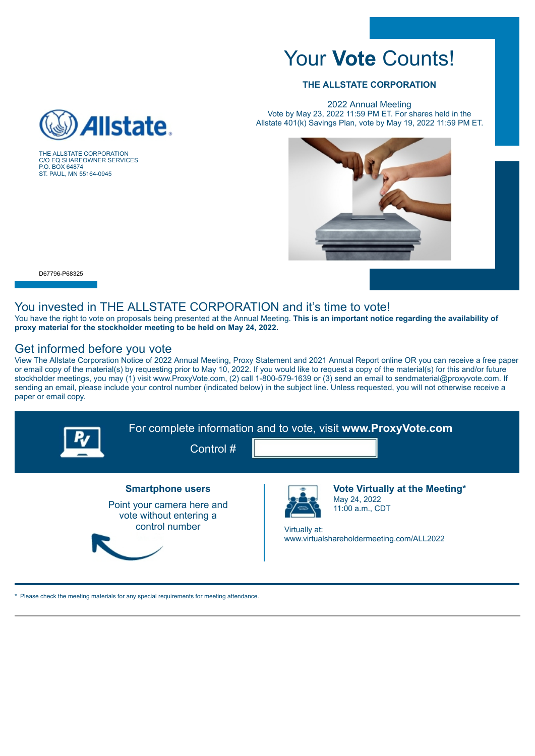# Your **Vote** Counts!

## **THE ALLSTATE CORPORATION**

2022 Annual Meeting Vote by May 23, 2022 11:59 PM ET. For shares held in the Allstate 401(k) Savings Plan, vote by May 19, 2022 11:59 PM ET.



 $\overline{a}$ 

P.O. BOX 64874 ST. PAUL, MN 55164-0945

## You invested in THE ALLSTATE CORPORATION and it's time to vote!

You have the right to vote on proposals being presented at the Annual Meeting. **This is an important notice regarding the availability of proxy material for the stockholder meeting to be held on May 24, 2022.**

## Get informed before you vote

 $\mathbb{R}$ 

View The Allstate Corporation Notice of 2022 Annual Meeting, Proxy Statement and 2021 Annual Report online OR you can receive a free paper or email copy of the material(s) by requesting prior to May 10, 2022. If you would like to request a copy of the material(s) for this and/or future stockholder meetings, you may (1) visit www.ProxyVote.com, (2) call 1-800-579-1639 or (3) send an email to sendmaterial@proxyvote.com. If sending an email, please include your control number (indicated below) in the subject line. Unless requested, you will not otherwise receive a paper or email copy.



\* Please check the meeting materials for any special requirements for meeting attendance.



THE ALLSTATE CORPORATION C/O EQ SHAREOWNER SERVICES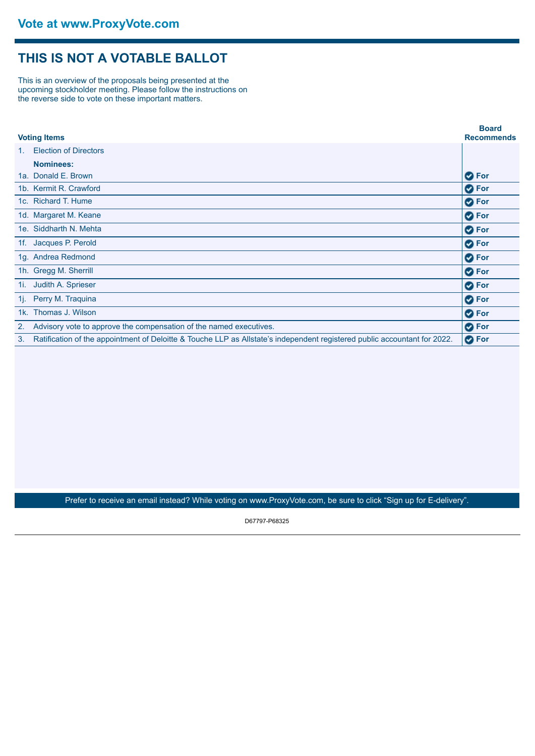## **THIS IS NOT A VOTABLE BALLOT**

This is an overview of the proposals being presented at the upcoming stockholder meeting. Please follow the instructions on the reverse side to vote on these important matters.

| <b>Voting Items</b> |                                                                                                                           | <b>Board</b><br><b>Recommends</b> |
|---------------------|---------------------------------------------------------------------------------------------------------------------------|-----------------------------------|
| $1_{-}$             | <b>Election of Directors</b>                                                                                              |                                   |
|                     | <b>Nominees:</b>                                                                                                          |                                   |
|                     | 1a. Donald E. Brown                                                                                                       | <b>O</b> For                      |
|                     | 1b. Kermit R. Crawford                                                                                                    | <b>O</b> For                      |
|                     | 1c. Richard T. Hume                                                                                                       | <b>O</b> For                      |
|                     | 1d. Margaret M. Keane                                                                                                     | <b>O</b> For                      |
|                     | 1e. Siddharth N. Mehta                                                                                                    | <b>O</b> For                      |
| 1f.                 | Jacques P. Perold                                                                                                         | <b>O</b> For                      |
|                     | 1g. Andrea Redmond                                                                                                        | <b>O</b> For                      |
|                     | 1h. Gregg M. Sherrill                                                                                                     | <b>O</b> For                      |
| 1i.                 | Judith A. Sprieser                                                                                                        | <b>O</b> For                      |
| 1j. l               | Perry M. Traguina                                                                                                         | <b>O</b> For                      |
|                     | 1k. Thomas J. Wilson                                                                                                      | <b>O</b> For                      |
| 2.                  | Advisory vote to approve the compensation of the named executives.                                                        | <b>O</b> For                      |
| 3.                  | Ratification of the appointment of Deloitte & Touche LLP as Allstate's independent registered public accountant for 2022. | <b>O</b> For                      |

Prefer to receive an email instead? While voting on www.ProxyVote.com, be sure to click "Sign up for E-delivery".

D67797-P68325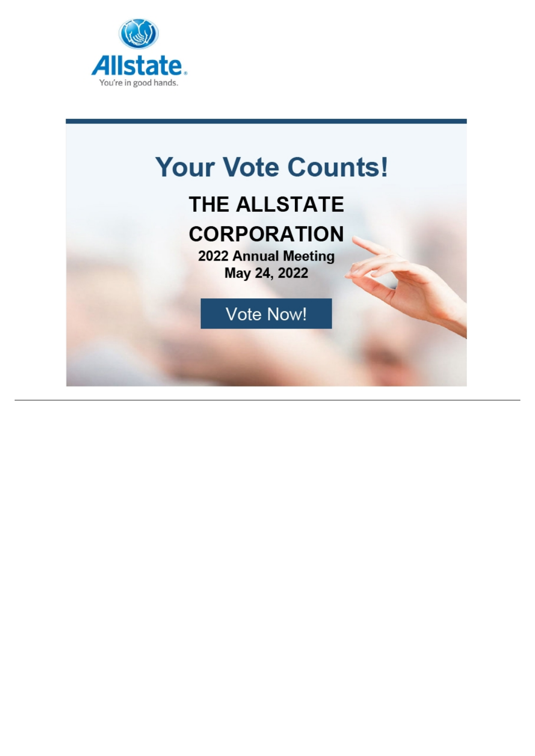

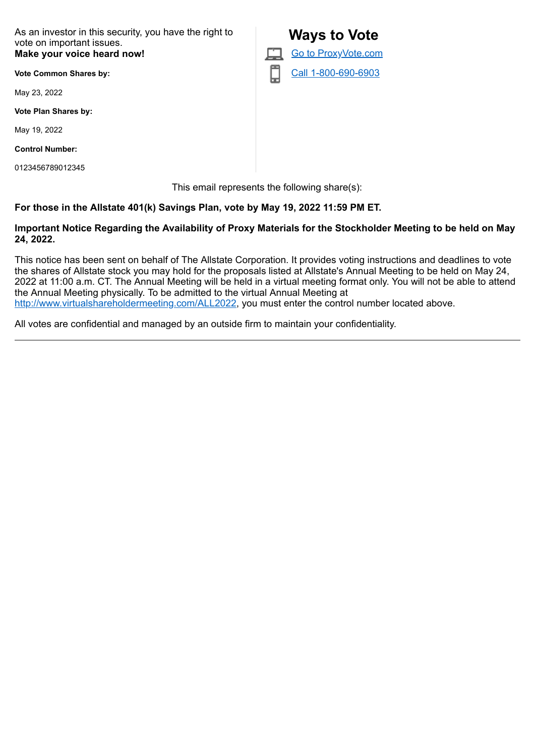As an investor in this security, you have the right to vote on important issues. **Make your voice heard now!**

**Vote Common Shares by:**

May 23, 2022

**Vote Plan Shares by:**

May 19, 2022

**Control Number:**

0123456789012345

 **Ways to Vote** Go to ProxyVote.com Call 1-800-690-6903

This email represents the following share(s):

## **For those in the Allstate 401(k) Savings Plan, vote by May 19, 2022 11:59 PM ET.**

## **Important Notice Regarding the Availability of Proxy Materials for the Stockholder Meeting to be held on May 24, 2022.**

This notice has been sent on behalf of The Allstate Corporation. It provides voting instructions and deadlines to vote the shares of Allstate stock you may hold for the proposals listed at Allstate's Annual Meeting to be held on May 24, 2022 at 11:00 a.m. CT. The Annual Meeting will be held in a virtual meeting format only. You will not be able to attend the Annual Meeting physically. To be admitted to the virtual Annual Meeting at http://www.virtualshareholdermeeting.com/ALL2022, you must enter the control number located above.

All votes are confidential and managed by an outside firm to maintain your confidentiality.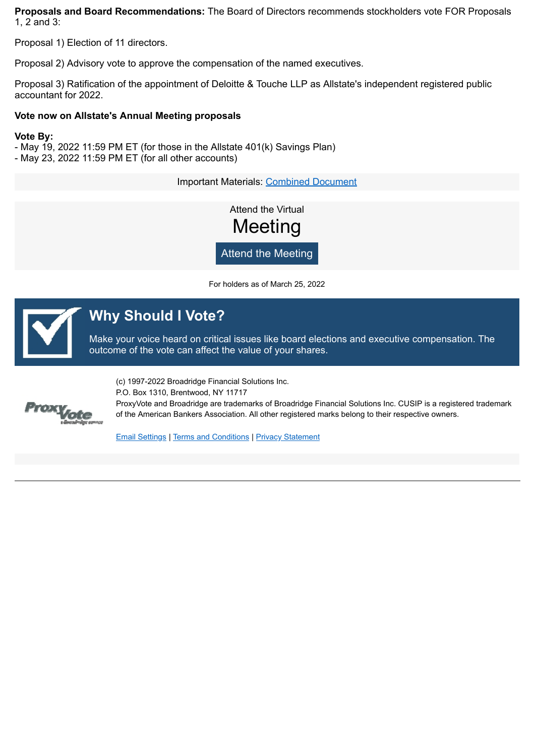**Proposals and Board Recommendations:** The Board of Directors recommends stockholders vote FOR Proposals 1, 2 and 3:

Proposal 1) Election of 11 directors.

Proposal 2) Advisory vote to approve the compensation of the named executives.

Proposal 3) Ratification of the appointment of Deloitte & Touche LLP as Allstate's independent registered public accountant for 2022.

### **Vote now on Allstate's Annual Meeting proposals**

### **Vote By:**

- May 19, 2022 11:59 PM ET (for those in the Allstate 401(k) Savings Plan) - May 23, 2022 11:59 PM ET (for all other accounts)

Important Materials: Combined Document

Attend the Virtual **Meeting** 

Attend the Meeting

For holders as of March 25, 2022



## **Why Should I Vote?**

Make your voice heard on critical issues like board elections and executive compensation. The outcome of the vote can affect the value of your shares.



(c) 1997-2022 Broadridge Financial Solutions Inc. P.O. Box 1310, Brentwood, NY 11717 ProxyVote and Broadridge are trademarks of Broadridge Financial Solutions Inc. CUSIP is a registered trademark of the American Bankers Association. All other registered marks belong to their respective owners.

Email Settings | Terms and Conditions | Privacy Statement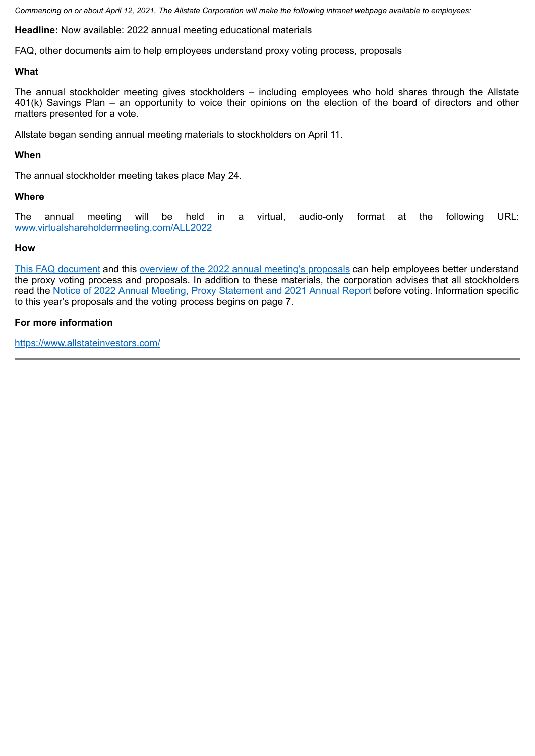*Commencing on or about April 12, 2021, The Allstate Corporation will make the following intranet webpage available to employees:*

**Headline:** Now available: 2022 annual meeting educational materials

FAQ, other documents aim to help employees understand proxy voting process, proposals

## **What**

The annual stockholder meeting gives stockholders – including employees who hold shares through the Allstate 401(k) Savings Plan – an opportunity to voice their opinions on the election of the board of directors and other matters presented for a vote.

Allstate began sending annual meeting materials to stockholders on April 11.

## **When**

The annual stockholder meeting takes place May 24.

## **Where**

The annual meeting will be held in a virtual, audio-only format at the following URL: www.virtualshareholdermeeting.com/ALL2022

## **How**

This FAQ document and this overview of the 2022 annual meeting's proposals can help employees better understand the proxy voting process and proposals. In addition to these materials, the corporation advises that all stockholders read the Notice of 2022 Annual Meeting, Proxy Statement and 2021 Annual Report before voting. Information specific to this year's proposals and the voting process begins on page 7.

## **For more information**

https://www.allstateinvestors.com/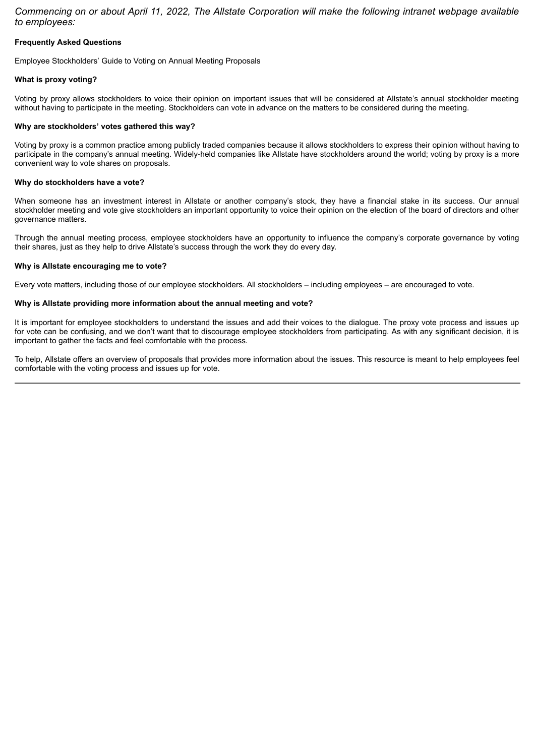*Commencing on or about April 11, 2022, The Allstate Corporation will make the following intranet webpage available to employees:*

### **Frequently Asked Questions**

Employee Stockholders' Guide to Voting on Annual Meeting Proposals

#### **What is proxy voting?**

Voting by proxy allows stockholders to voice their opinion on important issues that will be considered at Allstate's annual stockholder meeting without having to participate in the meeting. Stockholders can vote in advance on the matters to be considered during the meeting.

#### **Why are stockholders' votes gathered this way?**

Voting by proxy is a common practice among publicly traded companies because it allows stockholders to express their opinion without having to participate in the company's annual meeting. Widely-held companies like Allstate have stockholders around the world; voting by proxy is a more convenient way to vote shares on proposals.

#### **Why do stockholders have a vote?**

When someone has an investment interest in Allstate or another company's stock, they have a financial stake in its success. Our annual stockholder meeting and vote give stockholders an important opportunity to voice their opinion on the election of the board of directors and other governance matters.

Through the annual meeting process, employee stockholders have an opportunity to influence the company's corporate governance by voting their shares, just as they help to drive Allstate's success through the work they do every day.

#### **Why is Allstate encouraging me to vote?**

Every vote matters, including those of our employee stockholders. All stockholders – including employees – are encouraged to vote.

#### **Why is Allstate providing more information about the annual meeting and vote?**

It is important for employee stockholders to understand the issues and add their voices to the dialogue. The proxy vote process and issues up for vote can be confusing, and we don't want that to discourage employee stockholders from participating. As with any significant decision, it is important to gather the facts and feel comfortable with the process.

To help, Allstate offers an overview of proposals that provides more information about the issues. This resource is meant to help employees feel comfortable with the voting process and issues up for vote.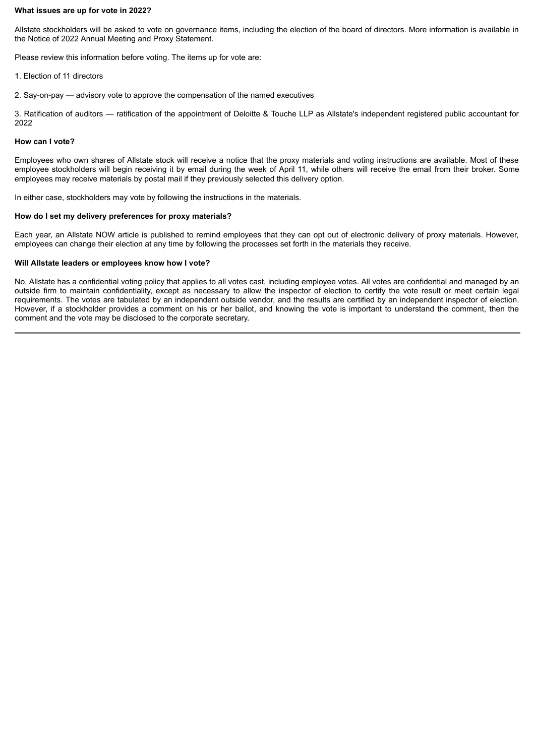### **What issues are up for vote in 2022?**

Allstate stockholders will be asked to vote on governance items, including the election of the board of directors. More information is available in the Notice of 2022 Annual Meeting and Proxy Statement.

Please review this information before voting. The items up for vote are:

- 1. Election of 11 directors
- 2. Say-on-pay advisory vote to approve the compensation of the named executives

3. Ratification of auditors — ratification of the appointment of Deloitte & Touche LLP as Allstate's independent registered public accountant for 2022

#### **How can I vote?**

Employees who own shares of Allstate stock will receive a notice that the proxy materials and voting instructions are available. Most of these employee stockholders will begin receiving it by email during the week of April 11, while others will receive the email from their broker. Some employees may receive materials by postal mail if they previously selected this delivery option.

In either case, stockholders may vote by following the instructions in the materials.

#### **How do I set my delivery preferences for proxy materials?**

Each year, an Allstate NOW article is published to remind employees that they can opt out of electronic delivery of proxy materials. However, employees can change their election at any time by following the processes set forth in the materials they receive.

#### **Will Allstate leaders or employees know how I vote?**

No. Allstate has a confidential voting policy that applies to all votes cast, including employee votes. All votes are confidential and managed by an outside firm to maintain confidentiality, except as necessary to allow the inspector of election to certify the vote result or meet certain legal requirements. The votes are tabulated by an independent outside vendor, and the results are certified by an independent inspector of election. However, if a stockholder provides a comment on his or her ballot, and knowing the vote is important to understand the comment, then the comment and the vote may be disclosed to the corporate secretary.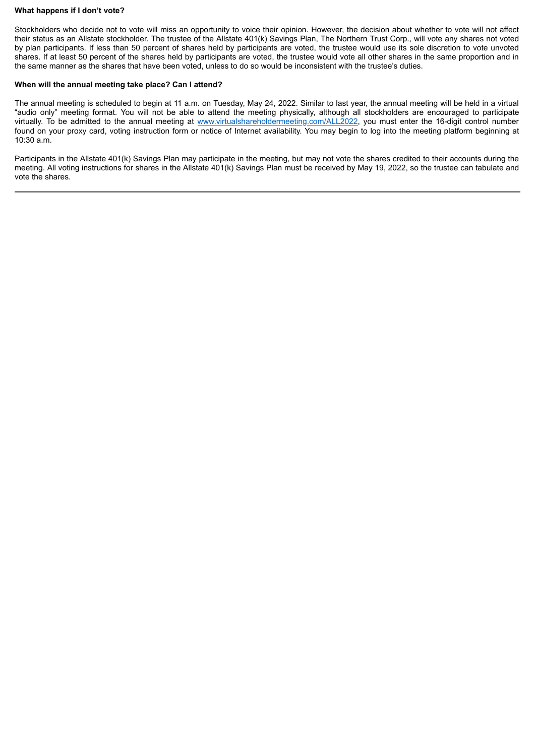### **What happens if I don't vote?**

Stockholders who decide not to vote will miss an opportunity to voice their opinion. However, the decision about whether to vote will not affect their status as an Allstate stockholder. The trustee of the Allstate 401(k) Savings Plan, The Northern Trust Corp., will vote any shares not voted by plan participants. If less than 50 percent of shares held by participants are voted, the trustee would use its sole discretion to vote unvoted shares. If at least 50 percent of the shares held by participants are voted, the trustee would vote all other shares in the same proportion and in the same manner as the shares that have been voted, unless to do so would be inconsistent with the trustee's duties.

#### **When will the annual meeting take place? Can I attend?**

The annual meeting is scheduled to begin at 11 a.m. on Tuesday, May 24, 2022. Similar to last year, the annual meeting will be held in a virtual "audio only" meeting format. You will not be able to attend the meeting physically, although all stockholders are encouraged to participate virtually. To be admitted to the annual meeting at www.virtualshareholdermeeting.com/ALL2022, you must enter the 16-digit control number found on your proxy card, voting instruction form or notice of Internet availability. You may begin to log into the meeting platform beginning at 10:30 a.m.

Participants in the Allstate 401(k) Savings Plan may participate in the meeting, but may not vote the shares credited to their accounts during the meeting. All voting instructions for shares in the Allstate 401(k) Savings Plan must be received by May 19, 2022, so the trustee can tabulate and vote the shares.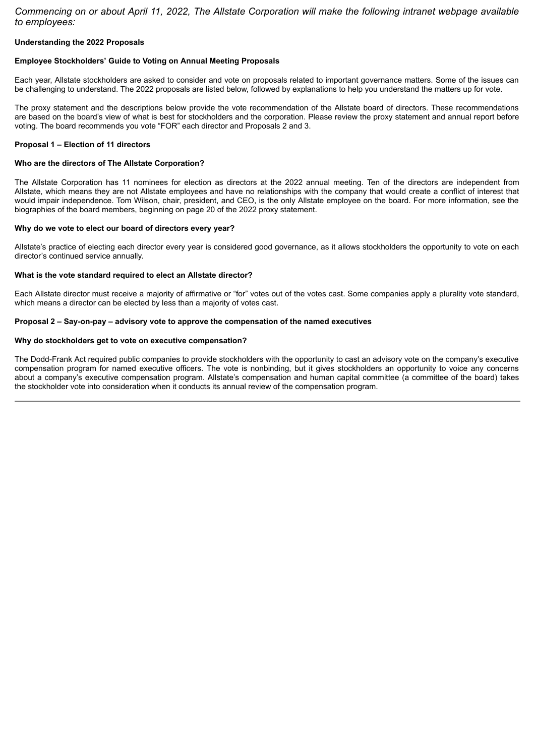*Commencing on or about April 11, 2022, The Allstate Corporation will make the following intranet webpage available to employees:*

#### **Understanding the 2022 Proposals**

#### **Employee Stockholders' Guide to Voting on Annual Meeting Proposals**

Each year, Allstate stockholders are asked to consider and vote on proposals related to important governance matters. Some of the issues can be challenging to understand. The 2022 proposals are listed below, followed by explanations to help you understand the matters up for vote.

The proxy statement and the descriptions below provide the vote recommendation of the Allstate board of directors. These recommendations are based on the board's view of what is best for stockholders and the corporation. Please review the proxy statement and annual report before voting. The board recommends you vote "FOR" each director and Proposals 2 and 3.

#### **Proposal 1 – Election of 11 directors**

#### **Who are the directors of The Allstate Corporation?**

The Allstate Corporation has 11 nominees for election as directors at the 2022 annual meeting. Ten of the directors are independent from Allstate, which means they are not Allstate employees and have no relationships with the company that would create a conflict of interest that would impair independence. Tom Wilson, chair, president, and CEO, is the only Allstate employee on the board. For more information, see the biographies of the board members, beginning on page 20 of the 2022 proxy statement.

#### **Why do we vote to elect our board of directors every year?**

Allstate's practice of electing each director every year is considered good governance, as it allows stockholders the opportunity to vote on each director's continued service annually.

#### **What is the vote standard required to elect an Allstate director?**

Each Allstate director must receive a majority of affirmative or "for" votes out of the votes cast. Some companies apply a plurality vote standard, which means a director can be elected by less than a majority of votes cast.

#### **Proposal 2 – Say-on-pay – advisory vote to approve the compensation of the named executives**

#### **Why do stockholders get to vote on executive compensation?**

The Dodd-Frank Act required public companies to provide stockholders with the opportunity to cast an advisory vote on the company's executive compensation program for named executive officers. The vote is nonbinding, but it gives stockholders an opportunity to voice any concerns about a company's executive compensation program. Allstate's compensation and human capital committee (a committee of the board) takes the stockholder vote into consideration when it conducts its annual review of the compensation program.